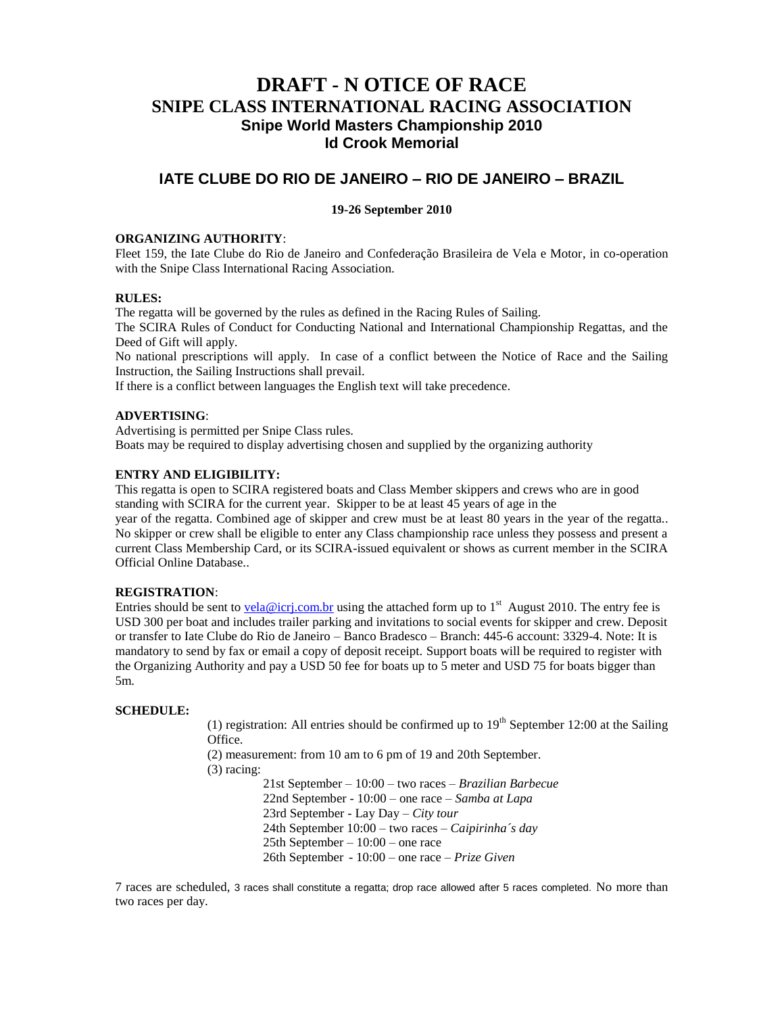# **DRAFT - N OTICE OF RACE SNIPE CLASS INTERNATIONAL RACING ASSOCIATION Snipe World Masters Championship 2010 Id Crook Memorial**

## **IATE CLUBE DO RIO DE JANEIRO – RIO DE JANEIRO – BRAZIL**

## **19-26 September 2010**

## **ORGANIZING AUTHORITY**:

Fleet 159, the Iate Clube do Rio de Janeiro and Confederação Brasileira de Vela e Motor, in co-operation with the Snipe Class International Racing Association.

## **RULES:**

The regatta will be governed by the rules as defined in the Racing Rules of Sailing.

The SCIRA Rules of Conduct for Conducting National and International Championship Regattas, and the Deed of Gift will apply.

No national prescriptions will apply. In case of a conflict between the Notice of Race and the Sailing Instruction, the Sailing Instructions shall prevail.

If there is a conflict between languages the English text will take precedence.

## **ADVERTISING**:

Advertising is permitted per Snipe Class rules. Boats may be required to display advertising chosen and supplied by the organizing authority

## **ENTRY AND ELIGIBILITY:**

This regatta is open to SCIRA registered boats and Class Member skippers and crews who are in good standing with SCIRA for the current year. Skipper to be at least 45 years of age in the

year of the regatta. Combined age of skipper and crew must be at least 80 years in the year of the regatta.. No skipper or crew shall be eligible to enter any Class championship race unless they possess and present a current Class Membership Card, or its SCIRA-issued equivalent or shows as current member in the SCIRA Official Online Database..

## **REGISTRATION**:

Entries should be sent to [vela@icrj.com.br](mailto:vela@icrj.com.br) using the attached form up to 1<sup>st</sup> August 2010. The entry fee is USD 300 per boat and includes trailer parking and invitations to social events for skipper and crew. Deposit or transfer to Iate Clube do Rio de Janeiro – Banco Bradesco – Branch: 445-6 account: 3329-4. Note: It is mandatory to send by fax or email a copy of deposit receipt. Support boats will be required to register with the Organizing Authority and pay a USD 50 fee for boats up to 5 meter and USD 75 for boats bigger than 5m.

## **SCHEDULE:**

(1) registration: All entries should be confirmed up to  $19<sup>th</sup>$  September 12:00 at the Sailing Office.

(2) measurement: from 10 am to 6 pm of 19 and 20th September. (3) racing:

 21st September – 10:00 – two races – *Brazilian Barbecue* 22nd September - 10:00 – one race – *Samba at Lapa* 23rd September - Lay Day – *City tour* 24th September 10:00 – two races – *Caipirinha´s day* 25th September – 10:00 – one race 26th September - 10:00 – one race – *Prize Given*

7 races are scheduled, 3 races shall constitute a regatta; drop race allowed after 5 races completed. No more than two races per day.